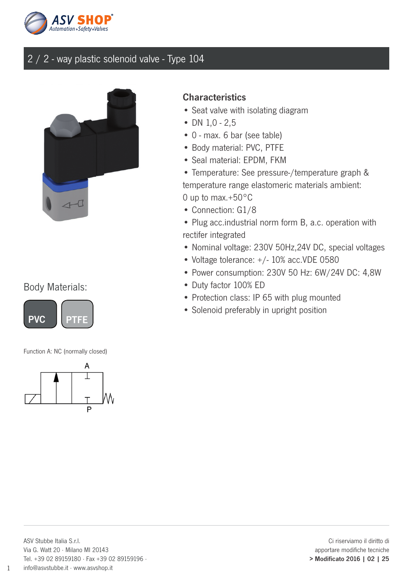



### Body Materials:



Function A: NC (normally closed)



#### **Characteristics**

- Seat valve with isolating diagram
- DN  $1,0 2,5$
- 0 max. 6 bar (see table)
- Body material: PVC, PTFE
- Seal material: EPDM, FKM

• Temperature: See pressure-/temperature graph & temperature range elastomeric materials ambient: 0 up to max.+50°C

- Connection: G1/8
- Plug acc.industrial norm form B, a.c. operation with rectifer integrated
- Nominal voltage: 230V 50Hz,24V DC, special voltages
- Voltage tolerance: +/- 10% acc.VDE 0580
- Power consumption: 230V 50 Hz: 6W/24V DC: 4,8W
- Duty factor 100% ED
- Protection class: IP 65 with plug mounted
- Solenoid preferably in upright position

1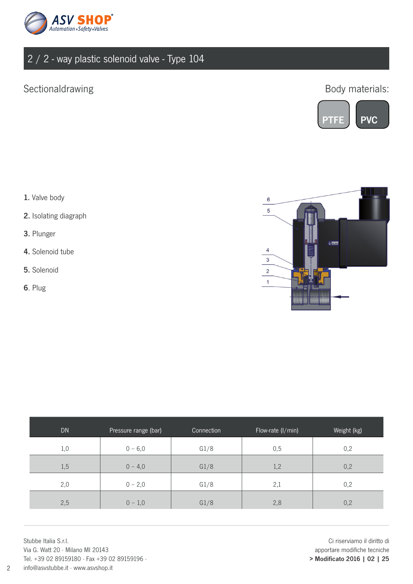

## Sectionaldrawing

Body materials:



- 1. Valve body
- 2. Isolating diagraph
- 3. Plunger
- 4. Solenoid tube
- 5. Solenoid
- 6. Plug



| <b>DN</b> | Pressure range (bar) | Connection | Flow-rate (I/min) | Weight (kg) |
|-----------|----------------------|------------|-------------------|-------------|
| 1,0       | $0 - 6,0$            | G1/8       | 0,5               | 0,2         |
| 1,5       | $0 - 4,0$            | G1/8       | 1,2               | 0,2         |
| 2,0       | $0 - 2,0$            | G1/8       | 2,1               | 0,2         |
| 2,5       | $0 - 1,0$            | G1/8       | 2,8               | 0,2         |

Stubbe Italia S.r.l. Via G. Watt 20 · Milano MI 20143 Tel. +39 02 89159180 · Fax +39 02 89159196 · info@asvstubbe.it · www.asvshop.it

Ci riserviamo il diritto di apportare modifiche tecniche > Modificato 2016 | 02 | 25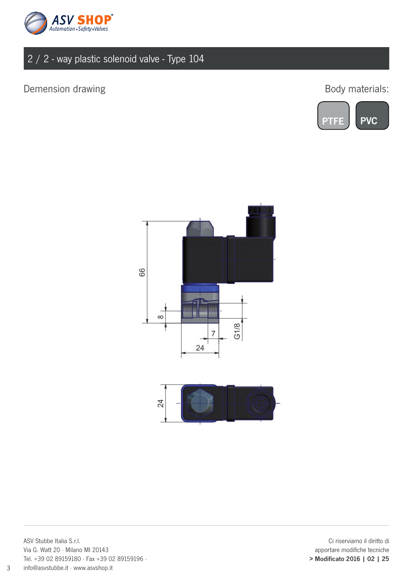

## Demension drawing and the state of the state of the Body materials:







ASV Stubbe Italia S.r.l. Via G. Watt 20 · Milano MI 20143 Tel. +39 02 89159180 · Fax +39 02 89159196 · info@asvstubbe.it · www.asvshop.it

Ci riserviamo il diritto di apportare modifiche tecniche > Modificato 2016 | 02 | 25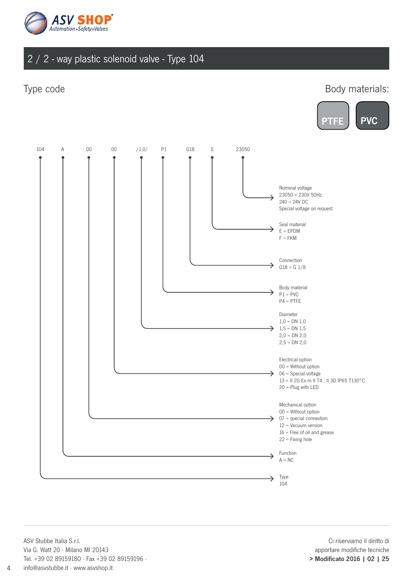

#### Type code

Body materials:





ASV Stubbe Italia S.r.l. Via G. Watt 20 · Milano MI 20143 Tel. +39 02 89159180 · Fax +39 02 89159196 · info@asvstubbe.it · www.asvshop.it